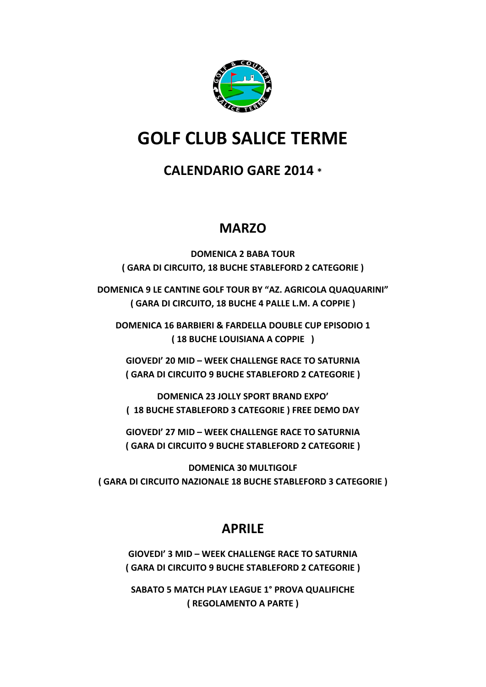

# **GOLF CLUB SALICE TERME**

## **CALENDARIO GARE 2014 \***

## **MARZO**

**DOMENICA 2 BABA TOUR ( GARA DI CIRCUITO, 18 BUCHE STABLEFORD 2 CATEGORIE )**

**DOMENICA 9 LE CANTINE GOLF TOUR BY "AZ. AGRICOLA QUAQUARINI" ( GARA DI CIRCUITO, 18 BUCHE 4 PALLE L.M. A COPPIE )**

**DOMENICA 16 BARBIERI & FARDELLA DOUBLE CUP EPISODIO 1 ( 18 BUCHE LOUISIANA A COPPIE )** 

**GIOVEDI' 20 MID – WEEK CHALLENGE RACE TO SATURNIA ( GARA DI CIRCUITO 9 BUCHE STABLEFORD 2 CATEGORIE )**

**DOMENICA 23 JOLLY SPORT BRAND EXPO' ( 18 BUCHE STABLEFORD 3 CATEGORIE ) FREE DEMO DAY**

**GIOVEDI' 27 MID – WEEK CHALLENGE RACE TO SATURNIA ( GARA DI CIRCUITO 9 BUCHE STABLEFORD 2 CATEGORIE )**

**DOMENICA 30 MULTIGOLF ( GARA DI CIRCUITO NAZIONALE 18 BUCHE STABLEFORD 3 CATEGORIE )**

## **APRILE**

**GIOVEDI' 3 MID – WEEK CHALLENGE RACE TO SATURNIA ( GARA DI CIRCUITO 9 BUCHE STABLEFORD 2 CATEGORIE )**

**SABATO 5 MATCH PLAY LEAGUE 1° PROVA QUALIFICHE ( REGOLAMENTO A PARTE )**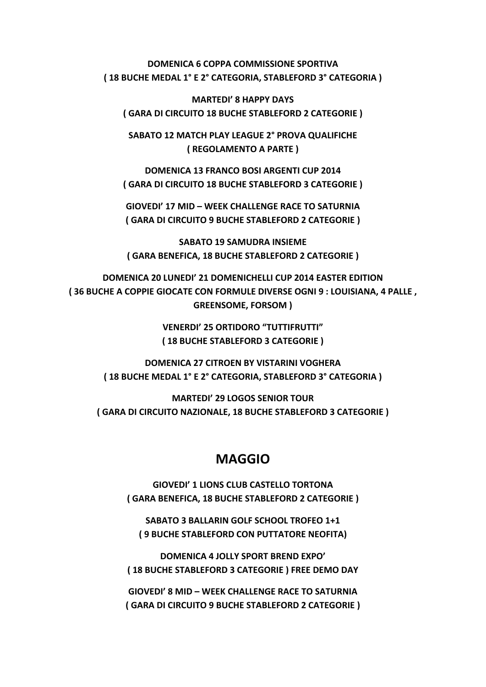#### **DOMENICA 6 COPPA COMMISSIONE SPORTIVA ( 18 BUCHE MEDAL 1° E 2° CATEGORIA, STABLEFORD 3° CATEGORIA )**

**MARTEDI' 8 HAPPY DAYS ( GARA DI CIRCUITO 18 BUCHE STABLEFORD 2 CATEGORIE )**

**SABATO 12 MATCH PLAY LEAGUE 2° PROVA QUALIFICHE ( REGOLAMENTO A PARTE )**

**DOMENICA 13 FRANCO BOSI ARGENTI CUP 2014 ( GARA DI CIRCUITO 18 BUCHE STABLEFORD 3 CATEGORIE )**

**GIOVEDI' 17 MID – WEEK CHALLENGE RACE TO SATURNIA ( GARA DI CIRCUITO 9 BUCHE STABLEFORD 2 CATEGORIE )**

**SABATO 19 SAMUDRA INSIEME ( GARA BENEFICA, 18 BUCHE STABLEFORD 2 CATEGORIE )**

**DOMENICA 20 LUNEDI' 21 DOMENICHELLI CUP 2014 EASTER EDITION ( 36 BUCHE A COPPIE GIOCATE CON FORMULE DIVERSE OGNI 9 : LOUISIANA, 4 PALLE , GREENSOME, FORSOM )**

> **VENERDI' 25 ORTIDORO "TUTTIFRUTTI" ( 18 BUCHE STABLEFORD 3 CATEGORIE )**

**DOMENICA 27 CITROEN BY VISTARINI VOGHERA ( 18 BUCHE MEDAL 1° E 2° CATEGORIA, STABLEFORD 3° CATEGORIA )**

**MARTEDI' 29 LOGOS SENIOR TOUR ( GARA DI CIRCUITO NAZIONALE, 18 BUCHE STABLEFORD 3 CATEGORIE )**

### **MAGGIO**

**GIOVEDI' 1 LIONS CLUB CASTELLO TORTONA ( GARA BENEFICA, 18 BUCHE STABLEFORD 2 CATEGORIE )**

**SABATO 3 BALLARIN GOLF SCHOOL TROFEO 1+1 ( 9 BUCHE STABLEFORD CON PUTTATORE NEOFITA)**

**DOMENICA 4 JOLLY SPORT BREND EXPO' ( 18 BUCHE STABLEFORD 3 CATEGORIE ) FREE DEMO DAY**

**GIOVEDI' 8 MID – WEEK CHALLENGE RACE TO SATURNIA ( GARA DI CIRCUITO 9 BUCHE STABLEFORD 2 CATEGORIE )**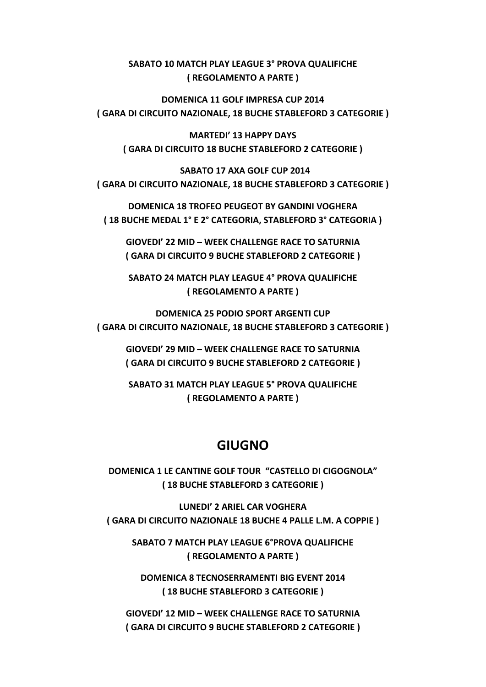#### **SABATO 10 MATCH PLAY LEAGUE 3° PROVA QUALIFICHE ( REGOLAMENTO A PARTE )**

**DOMENICA 11 GOLF IMPRESA CUP 2014 ( GARA DI CIRCUITO NAZIONALE, 18 BUCHE STABLEFORD 3 CATEGORIE )**

**MARTEDI' 13 HAPPY DAYS ( GARA DI CIRCUITO 18 BUCHE STABLEFORD 2 CATEGORIE )**

 **SABATO 17 AXA GOLF CUP 2014 ( GARA DI CIRCUITO NAZIONALE, 18 BUCHE STABLEFORD 3 CATEGORIE )** 

**DOMENICA 18 TROFEO PEUGEOT BY GANDINI VOGHERA ( 18 BUCHE MEDAL 1° E 2° CATEGORIA, STABLEFORD 3° CATEGORIA )**

**GIOVEDI' 22 MID – WEEK CHALLENGE RACE TO SATURNIA ( GARA DI CIRCUITO 9 BUCHE STABLEFORD 2 CATEGORIE )**

**SABATO 24 MATCH PLAY LEAGUE 4° PROVA QUALIFICHE ( REGOLAMENTO A PARTE )**

**DOMENICA 25 PODIO SPORT ARGENTI CUP ( GARA DI CIRCUITO NAZIONALE, 18 BUCHE STABLEFORD 3 CATEGORIE )**

**GIOVEDI' 29 MID – WEEK CHALLENGE RACE TO SATURNIA ( GARA DI CIRCUITO 9 BUCHE STABLEFORD 2 CATEGORIE )**

**SABATO 31 MATCH PLAY LEAGUE 5° PROVA QUALIFICHE ( REGOLAMENTO A PARTE )**

### **GIUGNO**

**DOMENICA 1 LE CANTINE GOLF TOUR "CASTELLO DI CIGOGNOLA" ( 18 BUCHE STABLEFORD 3 CATEGORIE )**

LUNEDI' 2 ARIEL CAR VOGHERA **( GARA DI CIRCUITO NAZIONALE 18 BUCHE 4 PALLE L.M. A COPPIE )**

**SABATO 7 MATCH PLAY LEAGUE 6°PROVA QUALIFICHE ( REGOLAMENTO A PARTE )**

**DOMENICA 8 TECNOSERRAMENTI BIG EVENT 2014 ( 18 BUCHE STABLEFORD 3 CATEGORIE )**

**GIOVEDI' 12 MID – WEEK CHALLENGE RACE TO SATURNIA ( GARA DI CIRCUITO 9 BUCHE STABLEFORD 2 CATEGORIE )**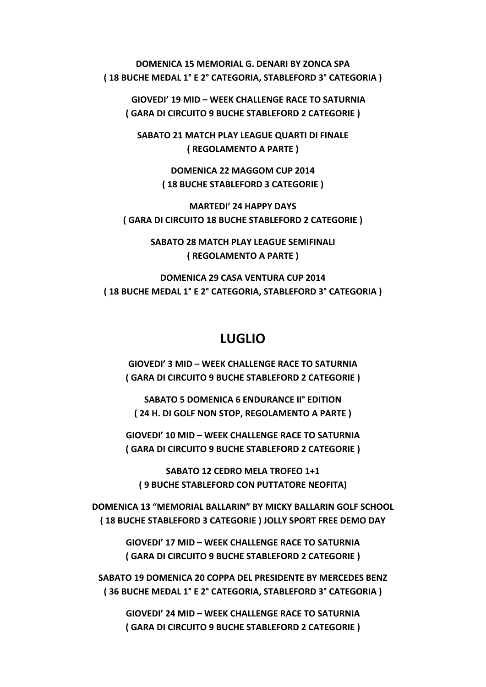**DOMENICA 15 MEMORIAL G. DENARI BY ZONCA SPA ( 18 BUCHE MEDAL 1° E 2° CATEGORIA, STABLEFORD 3° CATEGORIA )** 

 **GIOVEDI' 19 MID – WEEK CHALLENGE RACE TO SATURNIA ( GARA DI CIRCUITO 9 BUCHE STABLEFORD 2 CATEGORIE )**

**SABATO 21 MATCH PLAY LEAGUE QUARTI DI FINALE ( REGOLAMENTO A PARTE )**

> **DOMENICA 22 MAGGOM CUP 2014 ( 18 BUCHE STABLEFORD 3 CATEGORIE )**

**MARTEDI' 24 HAPPY DAYS ( GARA DI CIRCUITO 18 BUCHE STABLEFORD 2 CATEGORIE )**

> **SABATO 28 MATCH PLAY LEAGUE SEMIFINALI ( REGOLAMENTO A PARTE )**

**DOMENICA 29 CASA VENTURA CUP 2014 ( 18 BUCHE MEDAL 1° E 2° CATEGORIA, STABLEFORD 3° CATEGORIA )**

#### **LUGLIO**

**GIOVEDI' 3 MID – WEEK CHALLENGE RACE TO SATURNIA ( GARA DI CIRCUITO 9 BUCHE STABLEFORD 2 CATEGORIE )**

**SABATO 5 DOMENICA 6 ENDURANCE II° EDITION ( 24 H. DI GOLF NON STOP, REGOLAMENTO A PARTE )**

**GIOVEDI' 10 MID – WEEK CHALLENGE RACE TO SATURNIA ( GARA DI CIRCUITO 9 BUCHE STABLEFORD 2 CATEGORIE )**

**SABATO 12 CEDRO MELA TROFEO 1+1 ( 9 BUCHE STABLEFORD CON PUTTATORE NEOFITA)**

**DOMENICA 13 "MEMORIAL BALLARIN" BY MICKY BALLARIN GOLF SCHOOL ( 18 BUCHE STABLEFORD 3 CATEGORIE ) JOLLY SPORT FREE DEMO DAY**

> **GIOVEDI' 17 MID – WEEK CHALLENGE RACE TO SATURNIA ( GARA DI CIRCUITO 9 BUCHE STABLEFORD 2 CATEGORIE )**

**SABATO 19 DOMENICA 20 COPPA DEL PRESIDENTE BY MERCEDES BENZ ( 36 BUCHE MEDAL 1° E 2° CATEGORIA, STABLEFORD 3° CATEGORIA )**

**GIOVEDI' 24 MID – WEEK CHALLENGE RACE TO SATURNIA ( GARA DI CIRCUITO 9 BUCHE STABLEFORD 2 CATEGORIE )**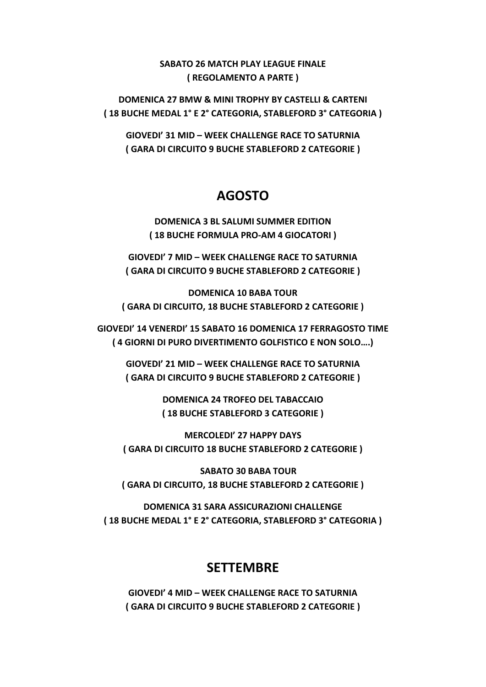#### **SABATO 26 MATCH PLAY LEAGUE FINALE ( REGOLAMENTO A PARTE )**

**DOMENICA 27 BMW & MINI TROPHY BY CASTELLI & CARTENI ( 18 BUCHE MEDAL 1° E 2° CATEGORIA, STABLEFORD 3° CATEGORIA )**

**GIOVEDI' 31 MID – WEEK CHALLENGE RACE TO SATURNIA ( GARA DI CIRCUITO 9 BUCHE STABLEFORD 2 CATEGORIE )**

### **AGOSTO**

**DOMENICA 3 BL SALUMI SUMMER EDITION ( 18 BUCHE FORMULA PRO‐AM 4 GIOCATORI )**

**GIOVEDI' 7 MID – WEEK CHALLENGE RACE TO SATURNIA ( GARA DI CIRCUITO 9 BUCHE STABLEFORD 2 CATEGORIE )**

**DOMENICA 10 BABA TOUR ( GARA DI CIRCUITO, 18 BUCHE STABLEFORD 2 CATEGORIE )**

**GIOVEDI' 14 VENERDI' 15 SABATO 16 DOMENICA 17 FERRAGOSTO TIME ( 4 GIORNI DI PURO DIVERTIMENTO GOLFISTICO E NON SOLO….)**

**GIOVEDI' 21 MID – WEEK CHALLENGE RACE TO SATURNIA ( GARA DI CIRCUITO 9 BUCHE STABLEFORD 2 CATEGORIE )**

> **DOMENICA 24 TROFEO DEL TABACCAIO ( 18 BUCHE STABLEFORD 3 CATEGORIE )**

**MERCOLEDI' 27 HAPPY DAYS ( GARA DI CIRCUITO 18 BUCHE STABLEFORD 2 CATEGORIE )**

 **SABATO 30 BABA TOUR ( GARA DI CIRCUITO, 18 BUCHE STABLEFORD 2 CATEGORIE )**

**DOMENICA 31 SARA ASSICURAZIONI CHALLENGE ( 18 BUCHE MEDAL 1° E 2° CATEGORIA, STABLEFORD 3° CATEGORIA )**

### **SETTEMBRE**

**GIOVEDI' 4 MID – WEEK CHALLENGE RACE TO SATURNIA ( GARA DI CIRCUITO 9 BUCHE STABLEFORD 2 CATEGORIE )**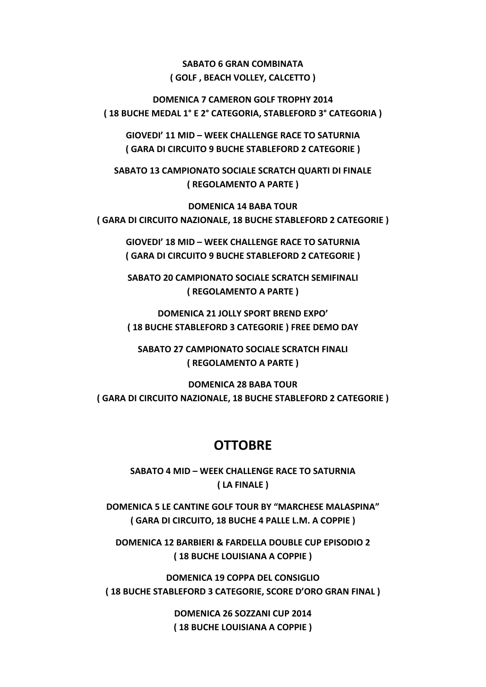**SABATO 6 GRAN COMBINATA ( GOLF , BEACH VOLLEY, CALCETTO )**

**DOMENICA 7 CAMERON GOLF TROPHY 2014 ( 18 BUCHE MEDAL 1° E 2° CATEGORIA, STABLEFORD 3° CATEGORIA )**

**GIOVEDI' 11 MID – WEEK CHALLENGE RACE TO SATURNIA ( GARA DI CIRCUITO 9 BUCHE STABLEFORD 2 CATEGORIE )**

**SABATO 13 CAMPIONATO SOCIALE SCRATCH QUARTI DI FINALE ( REGOLAMENTO A PARTE )**

**DOMENICA 14 BABA TOUR ( GARA DI CIRCUITO NAZIONALE, 18 BUCHE STABLEFORD 2 CATEGORIE )** 

**GIOVEDI' 18 MID – WEEK CHALLENGE RACE TO SATURNIA ( GARA DI CIRCUITO 9 BUCHE STABLEFORD 2 CATEGORIE )** 

**SABATO 20 CAMPIONATO SOCIALE SCRATCH SEMIFINALI ( REGOLAMENTO A PARTE )**

**DOMENICA 21 JOLLY SPORT BREND EXPO' ( 18 BUCHE STABLEFORD 3 CATEGORIE ) FREE DEMO DAY**

**SABATO 27 CAMPIONATO SOCIALE SCRATCH FINALI ( REGOLAMENTO A PARTE )** 

**DOMENICA 28 BABA TOUR ( GARA DI CIRCUITO NAZIONALE, 18 BUCHE STABLEFORD 2 CATEGORIE )** 

### **OTTOBRE**

**SABATO 4 MID – WEEK CHALLENGE RACE TO SATURNIA ( LA FINALE )**

**DOMENICA 5 LE CANTINE GOLF TOUR BY "MARCHESE MALASPINA" ( GARA DI CIRCUITO, 18 BUCHE 4 PALLE L.M. A COPPIE )**

**DOMENICA 12 BARBIERI & FARDELLA DOUBLE CUP EPISODIO 2 ( 18 BUCHE LOUISIANA A COPPIE )**

**DOMENICA 19 COPPA DEL CONSIGLIO ( 18 BUCHE STABLEFORD 3 CATEGORIE, SCORE D'ORO GRAN FINAL )**

> **DOMENICA 26 SOZZANI CUP 2014 ( 18 BUCHE LOUISIANA A COPPIE )**